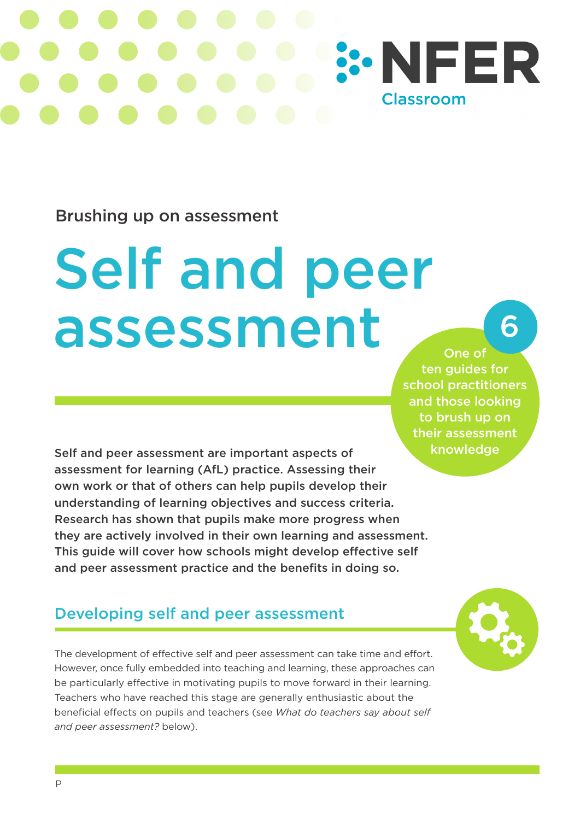# **SONFER Classroom**

#### Brushing up on assessment

# Self and peer assessment

#### One of ten guides for school practitioners and those looking to brush up on their assessment knowledge

6

Self and peer assessment are important aspects of assessment for learning (AfL) practice. Assessing their own work or that of others can help pupils develop their understanding of learning objectives and success criteria. Research has shown that pupils make more progress when they are actively involved in their own learning and assessment. This guide will cover how schools might develop effective self and peer assessment practice and the benefits in doing so.

### Developing self and peer assessment

The development of effective self and peer assessment can take time and effort. However, once fully embedded into teaching and learning, these approaches can be particularly effective in motivating pupils to move forward in their learning. Teachers who have reached this stage are generally enthusiastic about the beneficial effects on pupils and teachers (see *What do teachers say about self and peer assessment?* below).

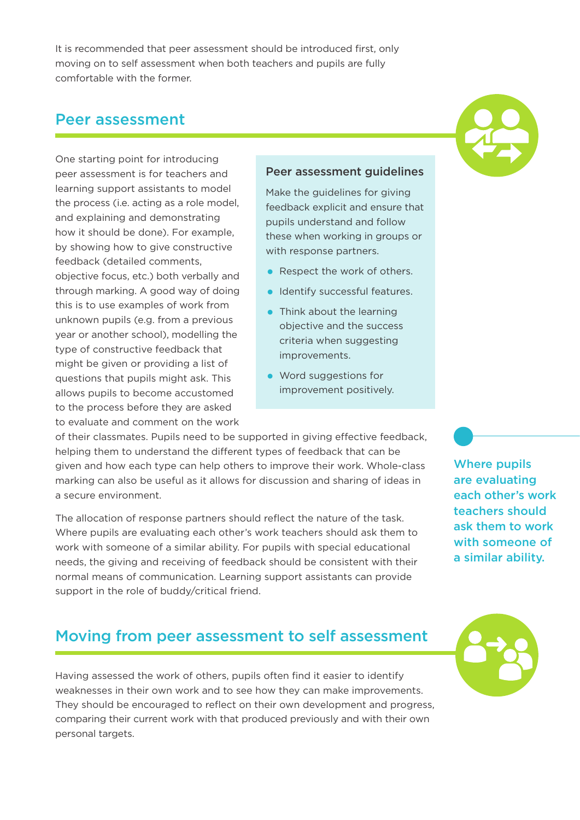It is recommended that peer assessment should be introduced first, only moving on to self assessment when both teachers and pupils are fully comfortable with the former.

#### Peer assessment



One starting point for introducing peer assessment is for teachers and learning support assistants to model the process (i.e. acting as a role model, and explaining and demonstrating how it should be done). For example, by showing how to give constructive feedback (detailed comments, objective focus, etc.) both verbally and through marking. A good way of doing this is to use examples of work from unknown pupils (e.g. from a previous year or another school), modelling the type of constructive feedback that might be given or providing a list of questions that pupils might ask. This allows pupils to become accustomed to the process before they are asked to evaluate and comment on the work

#### Peer assessment guidelines

Make the guidelines for giving feedback explicit and ensure that pupils understand and follow these when working in groups or with response partners.

- Respect the work of others.
- Identify successful features.
- Think about the learning objective and the success criteria when suggesting improvements.
- Word suggestions for improvement positively.

of their classmates. Pupils need to be supported in giving effective feedback, helping them to understand the different types of feedback that can be given and how each type can help others to improve their work. Whole-class marking can also be useful as it allows for discussion and sharing of ideas in a secure environment.

The allocation of response partners should reflect the nature of the task. Where pupils are evaluating each other's work teachers should ask them to work with someone of a similar ability. For pupils with special educational needs, the giving and receiving of feedback should be consistent with their normal means of communication. Learning support assistants can provide support in the role of buddy/critical friend.

Where pupils are evaluating each other's work teachers should ask them to work with someone of a similar ability.

#### Moving from peer assessment to self assessment

Having assessed the work of others, pupils often find it easier to identify weaknesses in their own work and to see how they can make improvements. They should be encouraged to reflect on their own development and progress, comparing their current work with that produced previously and with their own personal targets.

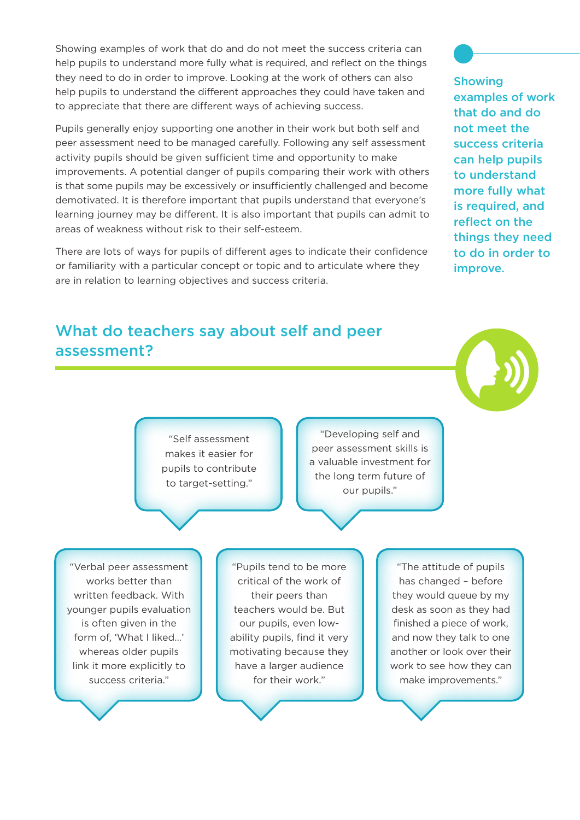Showing examples of work that do and do not meet the success criteria can help pupils to understand more fully what is required, and reflect on the things they need to do in order to improve. Looking at the work of others can also help pupils to understand the different approaches they could have taken and to appreciate that there are different ways of achieving success.

Pupils generally enjoy supporting one another in their work but both self and peer assessment need to be managed carefully. Following any self assessment activity pupils should be given sufficient time and opportunity to make improvements. A potential danger of pupils comparing their work with others is that some pupils may be excessively or insufficiently challenged and become demotivated. It is therefore important that pupils understand that everyone's learning journey may be different. It is also important that pupils can admit to areas of weakness without risk to their self-esteem.

There are lots of ways for pupils of different ages to indicate their confidence or familiarity with a particular concept or topic and to articulate where they are in relation to learning objectives and success criteria.

#### What do teachers say about self and peer assessment?

"Self assessment makes it easier for pupils to contribute to target-setting."

**Showing** examples of work that do and do not meet the success criteria can help pupils to understand more fully what is required, and reflect on the things they need to do in order to improve.

"Developing self and peer assessment skills is a valuable investment for the long term future of our pupils."

"Verbal peer assessment works better than written feedback. With younger pupils evaluation is often given in the form of, 'What I liked…' whereas older pupils link it more explicitly to success criteria."

"Pupils tend to be more critical of the work of their peers than teachers would be. But our pupils, even lowability pupils, find it very motivating because they have a larger audience for their work."

"The attitude of pupils has changed – before they would queue by my desk as soon as they had finished a piece of work, and now they talk to one another or look over their work to see how they can make improvements."